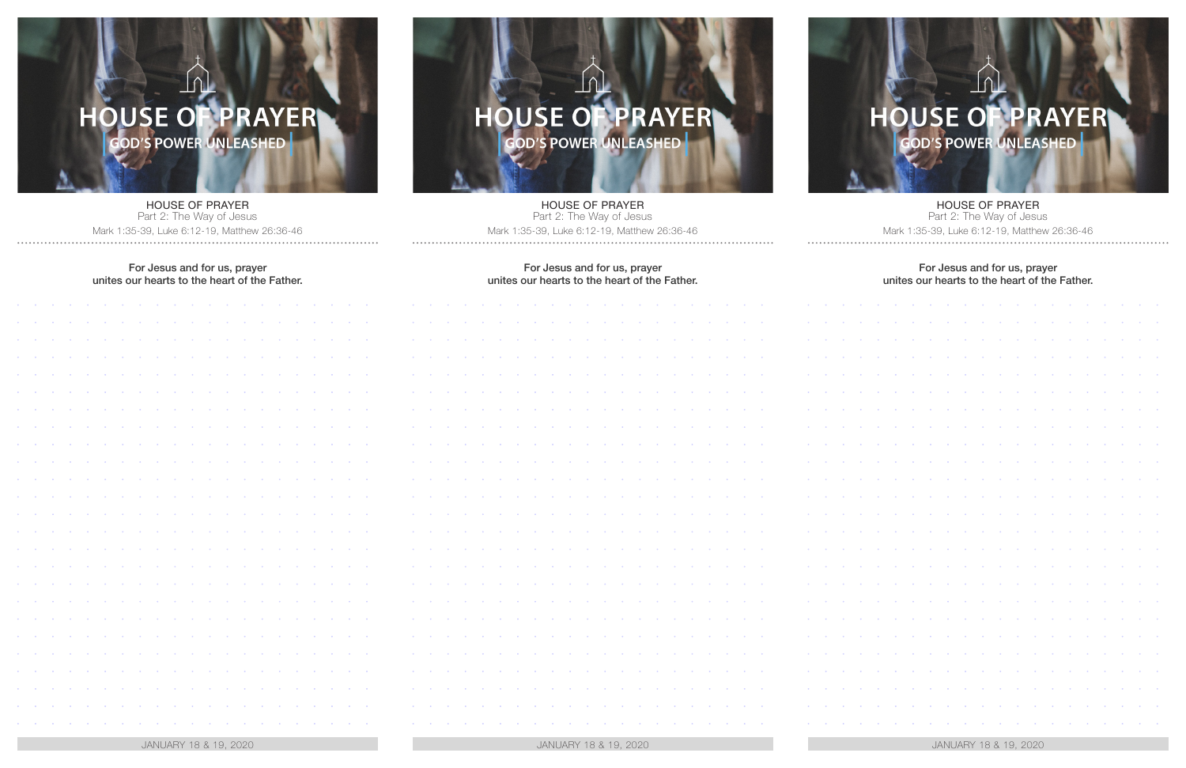## OUSE OF PRAYER

HOUSE OF PRAYER Part 2: The Way of Jesus Mark 1:35-39, Luke 6:12-19, Matthew 26:36-46

## For Jesus and for us, prayer unites our hearts to the heart of the Father.

|                                                               |            |                         |                   |        |                   |           |                   |            |                   |            |                   |            |            |                |                                                                                               |                           |            | $\sim$        |
|---------------------------------------------------------------|------------|-------------------------|-------------------|--------|-------------------|-----------|-------------------|------------|-------------------|------------|-------------------|------------|------------|----------------|-----------------------------------------------------------------------------------------------|---------------------------|------------|---------------|
|                                                               |            |                         |                   |        |                   |           |                   |            |                   |            |                   |            |            |                |                                                                                               |                           |            |               |
|                                                               |            |                         |                   |        |                   |           |                   |            |                   |            |                   |            |            |                |                                                                                               |                           |            | $\alpha$      |
|                                                               |            |                         |                   |        |                   |           |                   |            |                   |            |                   |            |            |                |                                                                                               |                           |            | $\mathcal{A}$ |
|                                                               |            |                         |                   |        |                   |           |                   |            |                   |            |                   |            |            |                |                                                                                               |                           |            | $\alpha$      |
|                                                               |            |                         |                   | $\sim$ | $\sim$            |           |                   |            |                   | $\bullet$  | $\sim$            | $\bullet$  |            | $\bullet$      |                                                                                               |                           |            | $\sim$        |
|                                                               |            |                         |                   |        |                   |           |                   |            |                   |            |                   |            |            |                |                                                                                               |                           |            | $\mathcal{A}$ |
|                                                               |            |                         | $\bullet$         | $\sim$ |                   |           |                   |            | $\bullet$         | $\sim$     |                   |            |            |                |                                                                                               |                           | $\sigma$ . | $\sim$        |
|                                                               |            |                         |                   |        | $\langle \rangle$ | $\bullet$ | $\sim$            | $\sim$     |                   |            | $\sim$            | $\bullet$  | $\sim$     | $\sim$         | $\bullet$                                                                                     |                           |            |               |
|                                                               |            |                         |                   |        |                   |           |                   |            |                   |            |                   |            |            |                |                                                                                               |                           |            | $\mathcal{A}$ |
|                                                               |            |                         | $\sim$            | $\sim$ | $\sim$            | $\bullet$ | $\sim$            | $\sim$     | $\sim$            | $\sim$     | $\sim$            | $\bullet$  | $\sim$     | $\sim$         | $\sim$                                                                                        |                           | $\bullet$  | $\sim$        |
|                                                               |            |                         |                   |        |                   |           |                   |            |                   |            |                   |            |            |                |                                                                                               |                           |            | $\mathcal{A}$ |
|                                                               |            | $\sim$                  | $\sim$            | $\sim$ | $\sim$            | $\bullet$ | $\sim$ 0 $^\circ$ | $\sim$     | $\sim$            | $\sim$     | $\sim$ 0 $^\circ$ | $\sim$     | $\sim 0.1$ | $\sim 0.1$     | $\sim$ 0 $^\circ$                                                                             |                           | $\bullet$  | $\sim$        |
|                                                               |            |                         |                   |        |                   |           |                   |            |                   |            |                   |            |            |                |                                                                                               |                           |            | $\sim$        |
|                                                               |            | $\sim$                  | $\sim$            | $\sim$ | $\sim$            | $\bullet$ | $\sim$            | $\sim$     | $\sim$ 0 $^\circ$ | $\sim 0.1$ | $\sim$ 0 $^\circ$ | $\sim 0.1$ | $\sim 0.1$ | $\sim 0.1$     | $\sim$ 0 $^\circ$                                                                             | $\langle \bullet \rangle$ | $\sim$     | $\sim$        |
|                                                               |            |                         |                   |        |                   |           |                   |            |                   |            |                   |            |            |                |                                                                                               |                           |            | $\mathcal{A}$ |
|                                                               |            | $\sim$                  | $\sim$ $\alpha$   | $\sim$ | $\sim$            | $\bullet$ | $\sim$            | $\sim$     | $\sim$ 0 $^\circ$ | $\sim 0.1$ | $\sim 0.1$        | $\sim 0.1$ | $\sim 0.1$ | $\sim 0.1$     | $\sim 100$                                                                                    | $\sim$ 0 $^\circ$         | $\alpha$ . | $\sim$        |
|                                                               |            |                         |                   |        |                   |           |                   |            |                   |            |                   |            |            |                |                                                                                               |                           |            | $\sim$        |
|                                                               |            | $\sim$                  | $\sim$ 0 $^\circ$ | $\sim$ | $\sim 0$ .        |           |                   | $\sim 0$ . | $\sim 0.1$        | $\sim 0.1$ | $\sim 0.1$        | $\sim 0$ . |            | $\sim 10^{-1}$ | $\sim 100$                                                                                    | $\sim 0.1$                | $\sim$     | $\sim$        |
|                                                               |            |                         |                   |        |                   |           |                   |            |                   |            |                   |            |            |                |                                                                                               |                           |            | $\sim$        |
|                                                               |            |                         |                   |        |                   |           |                   | $\sim 0$   |                   |            | $\sim$ 0 $^\circ$ |            |            | $\sim 0$       | $\sim$ 10 $\pm$                                                                               | $\sim$ 0 $^\circ$         | $\sim 0.1$ | $\sim$        |
|                                                               |            |                         |                   |        |                   |           |                   |            |                   |            |                   |            |            |                |                                                                                               |                           |            | $\sim$        |
|                                                               |            |                         |                   |        |                   |           |                   |            |                   |            |                   |            |            |                |                                                                                               |                           |            | $\sim$        |
|                                                               |            |                         |                   |        |                   |           |                   |            |                   |            |                   |            |            |                |                                                                                               |                           |            |               |
|                                                               |            |                         |                   |        |                   |           |                   |            |                   |            |                   |            |            |                |                                                                                               |                           |            |               |
|                                                               |            |                         |                   |        |                   |           |                   |            |                   |            |                   |            |            |                |                                                                                               |                           |            | $\sim$        |
| $\mathcal{F}_{\mathcal{F}}$ , and $\mathcal{F}_{\mathcal{F}}$ | $\sim 0.1$ | $\sim 100$ km s $^{-1}$ |                   |        |                   |           |                   |            |                   |            |                   |            |            |                | the context of the context of the context of the context of the context of the context of the | $\sim 100$                | $\sim 0.1$ | $\sim$        |

JANUARY 18 & 19, 2020